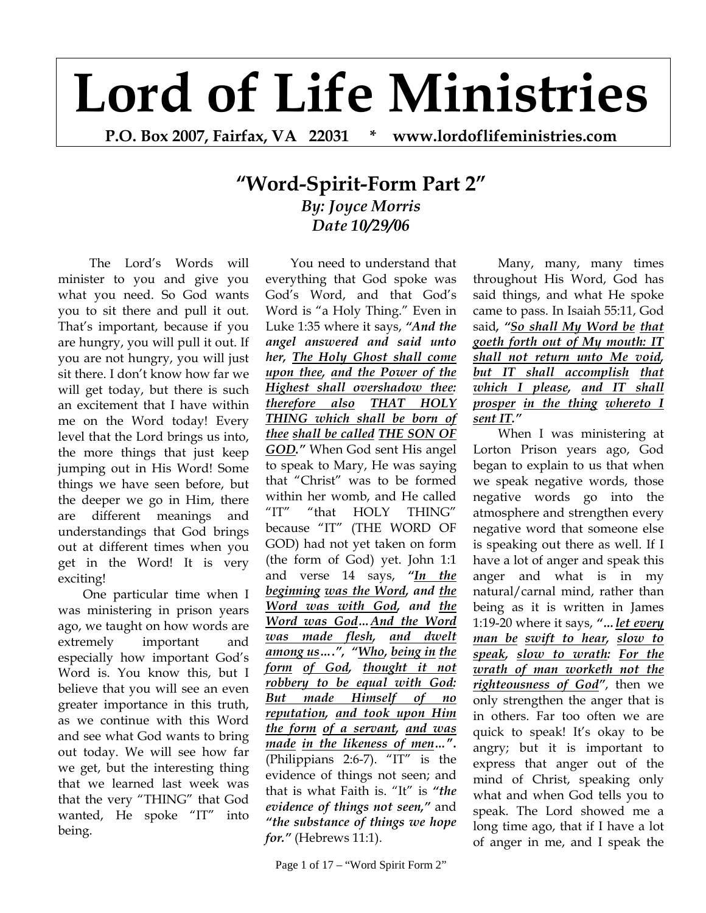## **Lord of Life Ministries**

**P.O. Box 2007, Fairfax, VA 22031 \* www.lordoflifeministries.com** 

## **"Word-Spirit-Form Part 2"** *By: Joyce Morris Date 10/29/06*

 The Lord's Words will minister to you and give you what you need. So God wants you to sit there and pull it out. That's important, because if you are hungry, you will pull it out. If you are not hungry, you will just sit there. I don't know how far we will get today, but there is such an excitement that I have within me on the Word today! Every level that the Lord brings us into, the more things that just keep jumping out in His Word! Some things we have seen before, but the deeper we go in Him, there are different meanings and understandings that God brings out at different times when you get in the Word! It is very exciting!

One particular time when I was ministering in prison years ago, we taught on how words are extremely important and especially how important God's Word is. You know this, but I believe that you will see an even greater importance in this truth, as we continue with this Word and see what God wants to bring out today. We will see how far we get, but the interesting thing that we learned last week was that the very "THING" that God wanted, He spoke "IT" into being.

You need to understand that everything that God spoke was God's Word, and that God's Word is "a Holy Thing." Even in Luke 1:35 where it says, *"And the angel answered and said unto her, The Holy Ghost shall come upon thee, and the Power of the Highest shall overshadow thee: therefore also THAT HOLY THING which shall be born of thee shall be called THE SON OF GOD."* When God sent His angel to speak to Mary, He was saying that "Christ" was to be formed within her womb, and He called "IT" "that HOLY THING" because "IT" (THE WORD OF GOD) had not yet taken on form (the form of God) yet. John 1:1 and verse 14 says, *"In the beginning was the Word, and the Word was with God, and the Word was God…And the Word was made flesh, and dwelt among us….", "Who, being in the form of God, thought it not robbery to be equal with God: But made Himself of no reputation, and took upon Him the form of a servant, and was made in the likeness of men…***".** (Philippians 2:6-7). "IT" is the evidence of things not seen; and that is what Faith is. "It" is *"the evidence of things not seen,"* and *"the substance of things we hope for."* (Hebrews 11:1).

Many, many, many times throughout His Word, God has said things, and what He spoke came to pass. In Isaiah 55:11, God said*, "So shall My Word be that goeth forth out of My mouth: IT shall not return unto Me void, but IT shall accomplish that which I please, and IT shall prosper in the thing whereto I sent IT."*

When I was ministering at Lorton Prison years ago, God began to explain to us that when we speak negative words, those negative words go into the atmosphere and strengthen every negative word that someone else is speaking out there as well. If I have a lot of anger and speak this anger and what is in my natural/carnal mind, rather than being as it is written in James 1:19-20 where it says, *"…let every man be swift to hear, slow to speak, slow to wrath: For the wrath of man worketh not the righteousness of God"*, then we only strengthen the anger that is in others. Far too often we are quick to speak! It's okay to be angry; but it is important to express that anger out of the mind of Christ, speaking only what and when God tells you to speak. The Lord showed me a long time ago, that if I have a lot of anger in me, and I speak the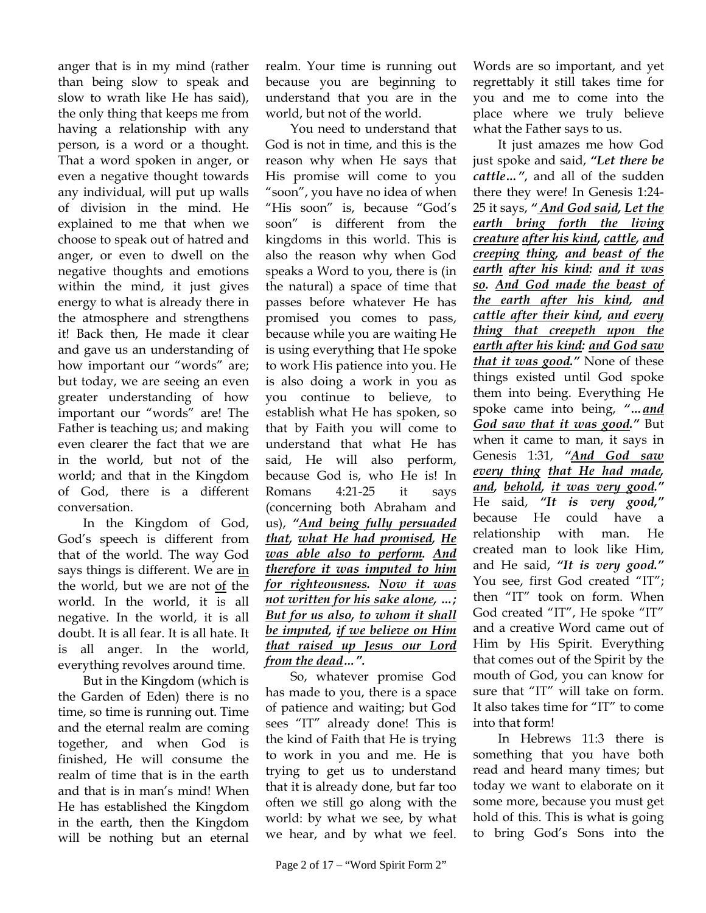anger that is in my mind (rather than being slow to speak and slow to wrath like He has said), the only thing that keeps me from having a relationship with any person, is a word or a thought. That a word spoken in anger, or even a negative thought towards any individual, will put up walls of division in the mind. He explained to me that when we choose to speak out of hatred and anger, or even to dwell on the negative thoughts and emotions within the mind, it just gives energy to what is already there in the atmosphere and strengthens it! Back then, He made it clear and gave us an understanding of how important our "words" are; but today, we are seeing an even greater understanding of how important our "words" are! The Father is teaching us; and making even clearer the fact that we are in the world, but not of the world; and that in the Kingdom of God, there is a different conversation.

In the Kingdom of God, God's speech is different from that of the world. The way God says things is different. We are in the world, but we are not of the world. In the world, it is all negative. In the world, it is all doubt. It is all fear. It is all hate. It is all anger. In the world, everything revolves around time.

But in the Kingdom (which is the Garden of Eden) there is no time, so time is running out. Time and the eternal realm are coming together, and when God is finished, He will consume the realm of time that is in the earth and that is in man's mind! When He has established the Kingdom in the earth, then the Kingdom will be nothing but an eternal realm. Your time is running out because you are beginning to understand that you are in the world, but not of the world.

You need to understand that God is not in time, and this is the reason why when He says that His promise will come to you "soon", you have no idea of when "His soon" is, because "God's soon" is different from the kingdoms in this world. This is also the reason why when God speaks a Word to you, there is (in the natural) a space of time that passes before whatever He has promised you comes to pass, because while you are waiting He is using everything that He spoke to work His patience into you. He is also doing a work in you as you continue to believe, to establish what He has spoken, so that by Faith you will come to understand that what He has said, He will also perform, because God is, who He is! In Romans 4:21-25 it says (concerning both Abraham and us), *"And being fully persuaded that, what He had promised, He was able also to perform. And therefore it was imputed to him for righteousness. Now it was not written for his sake alone, …; But for us also, to whom it shall be imputed, if we believe on Him that raised up Jesus our Lord from the dead…".* 

So, whatever promise God has made to you, there is a space of patience and waiting; but God sees "IT" already done! This is the kind of Faith that He is trying to work in you and me. He is trying to get us to understand that it is already done, but far too often we still go along with the world: by what we see, by what we hear, and by what we feel.

Words are so important, and yet regrettably it still takes time for you and me to come into the place where we truly believe what the Father says to us.

It just amazes me how God just spoke and said, *"Let there be cattle…"*, and all of the sudden there they were! In Genesis 1:24- 25 it says, *" And God said, Let the earth bring forth the living creature after his kind, cattle, and creeping thing, and beast of the earth after his kind: and it was so. And God made the beast of the earth after his kind, and cattle after their kind, and every thing that creepeth upon the earth after his kind: and God saw that it was good."* None of these things existed until God spoke them into being. Everything He spoke came into being, *"…and God saw that it was good."* But when it came to man, it says in Genesis 1:31, *"And God saw every thing that He had made, and, behold, it was very good."* He said, *"It is very good,"* because He could have a relationship with man. He created man to look like Him, and He said, *"It is very good."* You see, first God created "IT"; then "IT" took on form. When God created "IT", He spoke "IT" and a creative Word came out of Him by His Spirit. Everything that comes out of the Spirit by the mouth of God, you can know for sure that "IT" will take on form. It also takes time for "IT" to come into that form!

In Hebrews 11:3 there is something that you have both read and heard many times; but today we want to elaborate on it some more, because you must get hold of this. This is what is going to bring God's Sons into the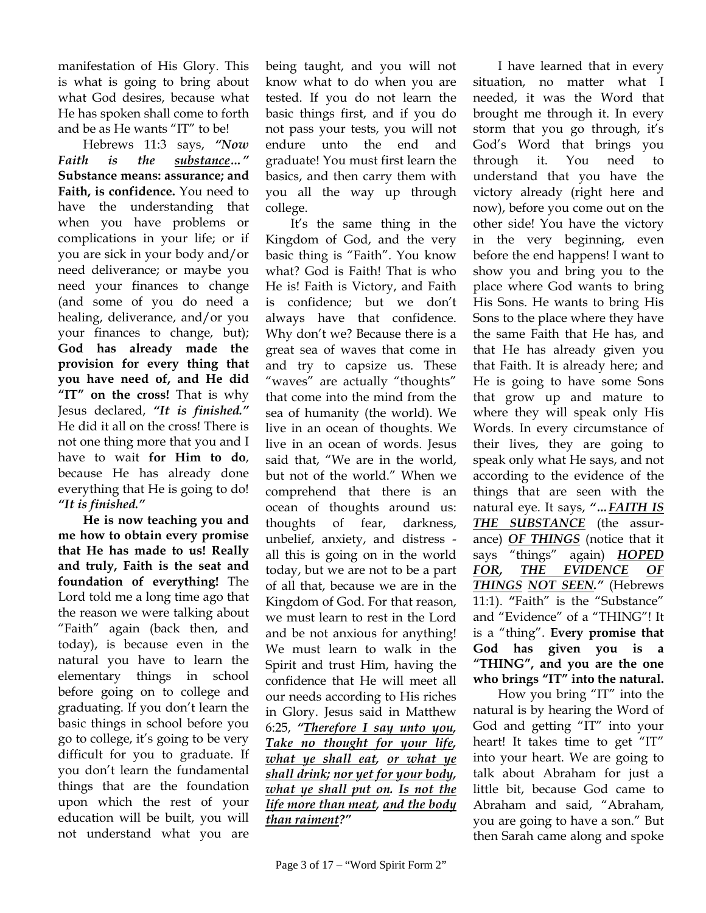manifestation of His Glory. This is what is going to bring about what God desires, because what He has spoken shall come to forth and be as He wants "IT" to be!

Hebrews 11:3 says, *"Now Faith is the substance…"* **Substance means: assurance; and Faith, is confidence.** You need to have the understanding that when you have problems or complications in your life; or if you are sick in your body and/or need deliverance; or maybe you need your finances to change (and some of you do need a healing, deliverance, and/or you your finances to change, but); **God has already made the provision for every thing that you have need of, and He did "IT" on the cross!** That is why Jesus declared, *"It is finished."*  He did it all on the cross! There is not one thing more that you and I have to wait **for Him to do**, because He has already done everything that He is going to do! *"It is finished."*

**He is now teaching you and me how to obtain every promise that He has made to us! Really and truly, Faith is the seat and foundation of everything!** The Lord told me a long time ago that the reason we were talking about "Faith" again (back then, and today), is because even in the natural you have to learn the elementary things in school before going on to college and graduating. If you don't learn the basic things in school before you go to college, it's going to be very difficult for you to graduate. If you don't learn the fundamental things that are the foundation upon which the rest of your education will be built, you will not understand what you are

being taught, and you will not know what to do when you are tested. If you do not learn the basic things first, and if you do not pass your tests, you will not endure unto the end and graduate! You must first learn the basics, and then carry them with you all the way up through college.

It's the same thing in the Kingdom of God, and the very basic thing is "Faith". You know what? God is Faith! That is who He is! Faith is Victory, and Faith is confidence; but we don't always have that confidence. Why don't we? Because there is a great sea of waves that come in and try to capsize us. These "waves" are actually "thoughts" that come into the mind from the sea of humanity (the world). We live in an ocean of thoughts. We live in an ocean of words. Jesus said that, "We are in the world, but not of the world." When we comprehend that there is an ocean of thoughts around us: thoughts of fear, darkness, unbelief, anxiety, and distress all this is going on in the world today, but we are not to be a part of all that, because we are in the Kingdom of God. For that reason, we must learn to rest in the Lord and be not anxious for anything! We must learn to walk in the Spirit and trust Him, having the confidence that He will meet all our needs according to His riches in Glory. Jesus said in Matthew 6:25, *"Therefore I say unto you, Take no thought for your life, what ye shall eat, or what ye shall drink; nor yet for your body, what ye shall put on. Is not the life more than meat, and the body than raiment?"* 

I have learned that in every situation, no matter what I needed, it was the Word that brought me through it. In every storm that you go through, it's God's Word that brings you through it. You need to understand that you have the victory already (right here and now), before you come out on the other side! You have the victory in the very beginning, even before the end happens! I want to show you and bring you to the place where God wants to bring His Sons. He wants to bring His Sons to the place where they have the same Faith that He has, and that He has already given you that Faith. It is already here; and He is going to have some Sons that grow up and mature to where they will speak only His Words. In every circumstance of their lives, they are going to speak only what He says, and not according to the evidence of the things that are seen with the natural eye. It says, *"…FAITH IS THE SUBSTANCE* (the assurance) *OF THINGS* (notice that it says "things" again) *HOPED FOR, THE EVIDENCE OF THINGS NOT SEEN."* (Hebrews 11:1). **"**Faith" is the "Substance" and "Evidence" of a "THING"! It is a "thing". **Every promise that God has given you is a "THING", and you are the one who brings "IT" into the natural.** 

How you bring "IT" into the natural is by hearing the Word of God and getting "IT" into your heart! It takes time to get "IT" into your heart. We are going to talk about Abraham for just a little bit, because God came to Abraham and said, "Abraham, you are going to have a son." But then Sarah came along and spoke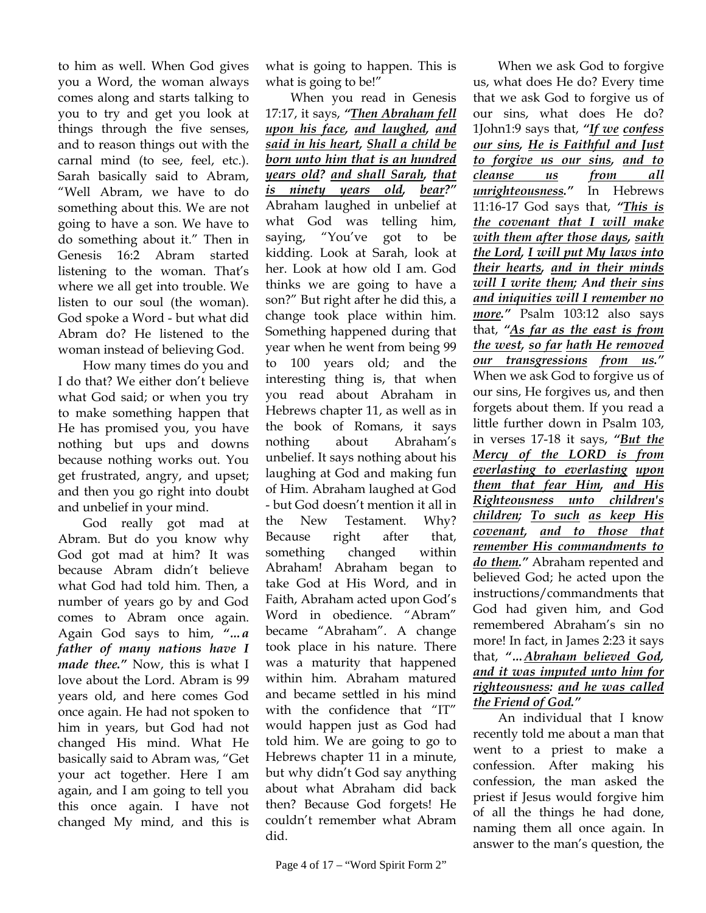to him as well. When God gives you a Word, the woman always comes along and starts talking to you to try and get you look at things through the five senses, and to reason things out with the carnal mind (to see, feel, etc.). Sarah basically said to Abram, "Well Abram, we have to do something about this. We are not going to have a son. We have to do something about it." Then in Genesis 16:2 Abram started listening to the woman. That's where we all get into trouble. We listen to our soul (the woman). God spoke a Word - but what did Abram do? He listened to the woman instead of believing God.

How many times do you and I do that? We either don't believe what God said; or when you try to make something happen that He has promised you, you have nothing but ups and downs because nothing works out. You get frustrated, angry, and upset; and then you go right into doubt and unbelief in your mind.

God really got mad at Abram. But do you know why God got mad at him? It was because Abram didn't believe what God had told him. Then, a number of years go by and God comes to Abram once again. Again God says to him, *"…a father of many nations have I made thee."* Now, this is what I love about the Lord. Abram is 99 years old, and here comes God once again. He had not spoken to him in years, but God had not changed His mind. What He basically said to Abram was, "Get your act together. Here I am again, and I am going to tell you this once again. I have not changed My mind, and this is

what is going to happen. This is what is going to be!"

When you read in Genesis 17:17, it says, *"Then Abraham fell upon his face, and laughed, and said in his heart, Shall a child be born unto him that is an hundred years old? and shall Sarah, that is ninety years old, bear?"* Abraham laughed in unbelief at what God was telling him, saying, "You've got to be kidding. Look at Sarah, look at her. Look at how old I am. God thinks we are going to have a son?" But right after he did this, a change took place within him. Something happened during that year when he went from being 99 to 100 years old; and the interesting thing is, that when you read about Abraham in Hebrews chapter 11, as well as in the book of Romans, it says nothing about Abraham's unbelief. It says nothing about his laughing at God and making fun of Him. Abraham laughed at God - but God doesn't mention it all in the New Testament. Why? Because right after that, something changed within Abraham! Abraham began to take God at His Word, and in Faith, Abraham acted upon God's Word in obedience. "Abram" became "Abraham". A change took place in his nature. There was a maturity that happened within him. Abraham matured and became settled in his mind with the confidence that "IT" would happen just as God had told him. We are going to go to Hebrews chapter 11 in a minute, but why didn't God say anything about what Abraham did back then? Because God forgets! He couldn't remember what Abram did.

When we ask God to forgive us, what does He do? Every time that we ask God to forgive us of our sins, what does He do? 1John1:9 says that, *"If we confess our sins, He is Faithful and Just to forgive us our sins, and to cleanse us from all unrighteousness."* In Hebrews 11:16-17 God says that, *"This is the covenant that I will make with them after those days, saith the Lord, I will put My laws into their hearts, and in their minds will I write them; And their sins and iniquities will I remember no more."* Psalm 103:12 also says that, *"As far as the east is from the west, so far hath He removed our transgressions from us."* When we ask God to forgive us of our sins, He forgives us, and then forgets about them. If you read a little further down in Psalm 103, in verses 17-18 it says, *"But the Mercy of the LORD is from everlasting to everlasting upon them that fear Him, and His Righteousness unto children's children; To such as keep His covenant, and to those that remember His commandments to do them."* Abraham repented and believed God; he acted upon the instructions/commandments that God had given him, and God remembered Abraham's sin no more! In fact, in James 2:23 it says that, *"…Abraham believed God, and it was imputed unto him for righteousness: and he was called the Friend of God."*

An individual that I know recently told me about a man that went to a priest to make a confession. After making his confession, the man asked the priest if Jesus would forgive him of all the things he had done, naming them all once again. In answer to the man's question, the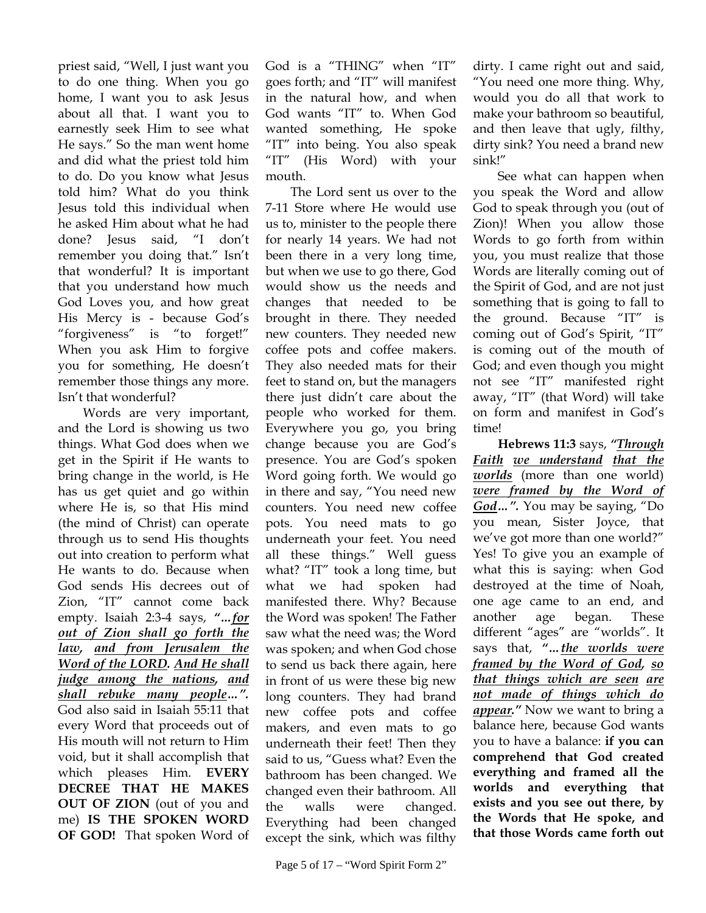priest said, "Well, I just want you to do one thing. When you go home, I want you to ask Jesus about all that. I want you to earnestly seek Him to see what He says." So the man went home and did what the priest told him to do. Do you know what Jesus told him? What do you think Jesus told this individual when he asked Him about what he had done? Jesus said, "I don't remember you doing that." Isn't that wonderful? It is important that you understand how much God Loves you, and how great His Mercy is - because God's "forgiveness" is "to forget!" When you ask Him to forgive you for something, He doesn't remember those things any more. Isn't that wonderful?

Words are very important, and the Lord is showing us two things. What God does when we get in the Spirit if He wants to bring change in the world, is He has us get quiet and go within where He is, so that His mind (the mind of Christ) can operate through us to send His thoughts out into creation to perform what He wants to do. Because when God sends His decrees out of Zion, "IT" cannot come back empty. Isaiah 2:3-4 says, *"…for out of Zion shall go forth the law, and from Jerusalem the Word of the LORD. And He shall judge among the nations, and shall rebuke many people…".* God also said in Isaiah 55:11 that every Word that proceeds out of His mouth will not return to Him void, but it shall accomplish that which pleases Him. **EVERY DECREE THAT HE MAKES OUT OF ZION** (out of you and me) **IS THE SPOKEN WORD OF GOD!** That spoken Word of God is a "THING" when "IT" goes forth; and "IT" will manifest in the natural how, and when God wants "IT" to. When God wanted something, He spoke "IT" into being. You also speak "IT" (His Word) with your mouth.

The Lord sent us over to the 7-11 Store where He would use us to, minister to the people there for nearly 14 years. We had not been there in a very long time, but when we use to go there, God would show us the needs and changes that needed to be brought in there. They needed new counters. They needed new coffee pots and coffee makers. They also needed mats for their feet to stand on, but the managers there just didn't care about the people who worked for them. Everywhere you go, you bring change because you are God's presence. You are God's spoken Word going forth. We would go in there and say, "You need new counters. You need new coffee pots. You need mats to go underneath your feet. You need all these things." Well guess what? "IT" took a long time, but what we had spoken had manifested there. Why? Because the Word was spoken! The Father saw what the need was; the Word was spoken; and when God chose to send us back there again, here in front of us were these big new long counters. They had brand new coffee pots and coffee makers, and even mats to go underneath their feet! Then they said to us, "Guess what? Even the bathroom has been changed. We changed even their bathroom. All the walls were changed. Everything had been changed except the sink, which was filthy dirty. I came right out and said, "You need one more thing. Why, would you do all that work to make your bathroom so beautiful, and then leave that ugly, filthy, dirty sink? You need a brand new sink!"

See what can happen when you speak the Word and allow God to speak through you (out of Zion)! When you allow those Words to go forth from within you, you must realize that those Words are literally coming out of the Spirit of God, and are not just something that is going to fall to the ground. Because "IT" is coming out of God's Spirit, "IT" is coming out of the mouth of God; and even though you might not see "IT" manifested right away, "IT" (that Word) will take on form and manifest in God's time!

**Hebrews 11:3** says, *"Through Faith we understand that the worlds* (more than one world) *were framed by the Word of God…".* You may be saying, "Do you mean, Sister Joyce, that we've got more than one world?" Yes! To give you an example of what this is saying: when God destroyed at the time of Noah, one age came to an end, and another age began. These different "ages" are "worlds". It says that, *"…the worlds were framed by the Word of God, so that things which are seen are not made of things which do appear."* Now we want to bring a balance here, because God wants you to have a balance: **if you can comprehend that God created everything and framed all the worlds and everything that exists and you see out there, by the Words that He spoke, and that those Words came forth out**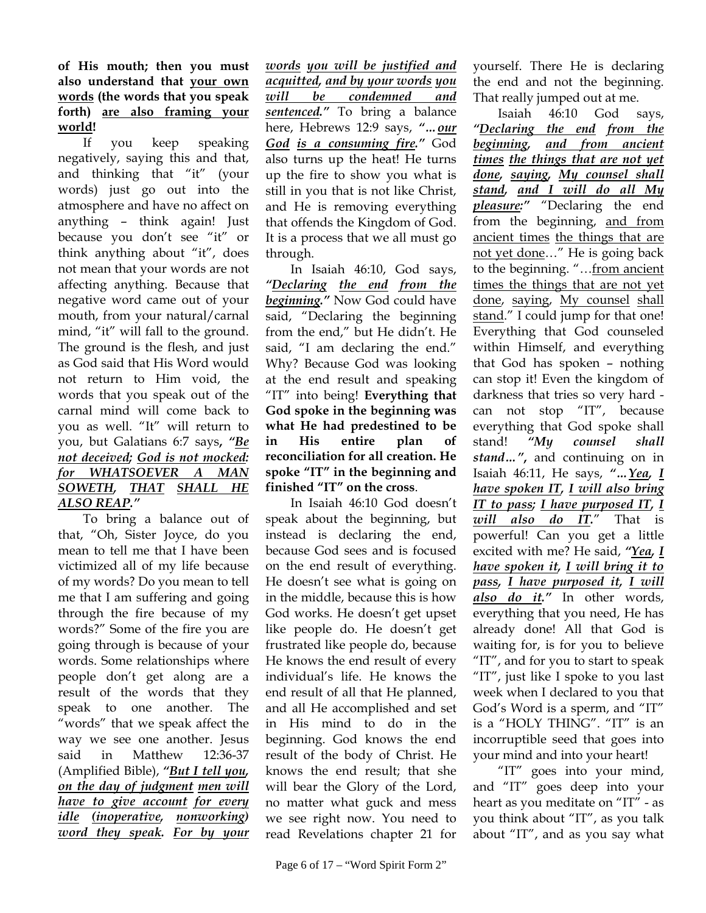**of His mouth; then you must also understand that your own words (the words that you speak forth) are also framing your world!** 

If you keep speaking negatively, saying this and that, and thinking that "it" (your words) just go out into the atmosphere and have no affect on anything – think again! Just because you don't see "it" or think anything about "it", does not mean that your words are not affecting anything. Because that negative word came out of your mouth, from your natural/carnal mind, "it" will fall to the ground. The ground is the flesh, and just as God said that His Word would not return to Him void, the words that you speak out of the carnal mind will come back to you as well. "It" will return to you, but Galatians 6:7 says**,** *"Be not deceived; God is not mocked: for WHATSOEVER A MAN SOWETH, THAT SHALL HE ALSO REAP."*

To bring a balance out of that, "Oh, Sister Joyce, do you mean to tell me that I have been victimized all of my life because of my words? Do you mean to tell me that I am suffering and going through the fire because of my words?" Some of the fire you are going through is because of your words. Some relationships where people don't get along are a result of the words that they speak to one another. The "words" that we speak affect the way we see one another. Jesus said in Matthew 12:36-37 (Amplified Bible), *"But I tell you, on the day of judgment men will have to give account for every idle (inoperative, nonworking) word they speak. For by your* 

*words you will be justified and acquitted, and by your words you will be condemned and sentenced."* To bring a balance here, Hebrews 12:9 says, "... our *God is a consuming fire."* God also turns up the heat! He turns up the fire to show you what is still in you that is not like Christ, and He is removing everything that offends the Kingdom of God. It is a process that we all must go through.

In Isaiah 46:10, God says, *"Declaring the end from the beginning."* Now God could have said, "Declaring the beginning from the end," but He didn't. He said, "I am declaring the end." Why? Because God was looking at the end result and speaking "IT" into being! **Everything that God spoke in the beginning was what He had predestined to be in His entire plan of reconciliation for all creation. He spoke "IT" in the beginning and finished "IT" on the cross**.

In Isaiah 46:10 God doesn't speak about the beginning, but instead is declaring the end, because God sees and is focused on the end result of everything. He doesn't see what is going on in the middle, because this is how God works. He doesn't get upset like people do. He doesn't get frustrated like people do, because He knows the end result of every individual's life. He knows the end result of all that He planned, and all He accomplished and set in His mind to do in the beginning. God knows the end result of the body of Christ. He knows the end result; that she will bear the Glory of the Lord, no matter what guck and mess we see right now. You need to read Revelations chapter 21 for

yourself. There He is declaring the end and not the beginning. That really jumped out at me.

Isaiah 46:10 God says, *"Declaring the end from the beginning, and from ancient times the things that are not yet done, saying, My counsel shall stand, and I will do all My pleasure:"* "Declaring the end from the beginning, and from ancient times the things that are not yet done…" He is going back to the beginning. "…from ancient times the things that are not yet done, saying, My counsel shall stand." I could jump for that one! Everything that God counseled within Himself, and everything that God has spoken – nothing can stop it! Even the kingdom of darkness that tries so very hard can not stop "IT", because everything that God spoke shall stand! *"My counsel shall stand…"***,** and continuing on in Isaiah 46:11, He says, *"…Yea, I have spoken IT, I will also bring IT to pass; I have purposed IT, I will also do IT.*" That is powerful! Can you get a little excited with me? He said, *"Yea, I have spoken it, I will bring it to pass, I have purposed it, I will also do it."* In other words, everything that you need, He has already done! All that God is waiting for, is for you to believe "IT", and for you to start to speak "IT", just like I spoke to you last week when I declared to you that God's Word is a sperm, and "IT" is a "HOLY THING". "IT" is an incorruptible seed that goes into your mind and into your heart!

"IT" goes into your mind, and "IT" goes deep into your heart as you meditate on "IT" - as you think about "IT", as you talk about "IT", and as you say what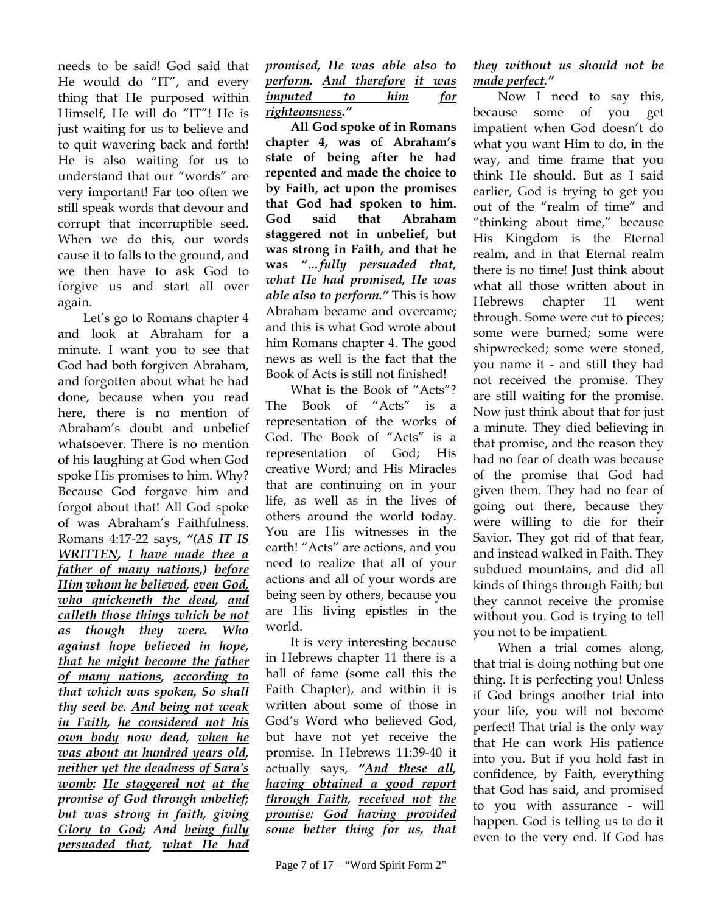needs to be said! God said that He would do "IT", and every thing that He purposed within Himself, He will do "IT"! He is just waiting for us to believe and to quit wavering back and forth! He is also waiting for us to understand that our "words" are very important! Far too often we still speak words that devour and corrupt that incorruptible seed. When we do this, our words cause it to falls to the ground, and we then have to ask God to forgive us and start all over again.

Let's go to Romans chapter 4 and look at Abraham for a minute. I want you to see that God had both forgiven Abraham, and forgotten about what he had done, because when you read here, there is no mention of Abraham's doubt and unbelief whatsoever. There is no mention of his laughing at God when God spoke His promises to him. Why? Because God forgave him and forgot about that! All God spoke of was Abraham's Faithfulness. Romans 4:17-22 says, *"(AS IT IS WRITTEN, I have made thee a father of many nations,) before Him whom he believed, even God, who quickeneth the dead, and calleth those things which be not as though they were. Who against hope believed in hope, that he might become the father of many nations, according to that which was spoken, So shall thy seed be. And being not weak in Faith, he considered not his own body now dead, when he was about an hundred years old, neither yet the deadness of Sara's womb: He staggered not at the promise of God through unbelief; but was strong in faith, giving Glory to God; And being fully persuaded that, what He had* 

*promised, He was able also to perform. And therefore it was imputed to him for righteousness."* 

**All God spoke of in Romans chapter 4, was of Abraham's state of being after he had repented and made the choice to by Faith, act upon the promises that God had spoken to him. God said that Abraham staggered not in unbelief, but was strong in Faith, and that he was** *"…fully persuaded that, what He had promised, He was able also to perform."* This is how Abraham became and overcame; and this is what God wrote about him Romans chapter 4. The good news as well is the fact that the Book of Acts is still not finished!

What is the Book of "Acts"? The Book of "Acts" is a representation of the works of God. The Book of "Acts" is a representation of God; His creative Word; and His Miracles that are continuing on in your life, as well as in the lives of others around the world today. You are His witnesses in the earth! "Acts" are actions, and you need to realize that all of your actions and all of your words are being seen by others, because you are His living epistles in the world.

It is very interesting because in Hebrews chapter 11 there is a hall of fame (some call this the Faith Chapter), and within it is written about some of those in God's Word who believed God, but have not yet receive the promise. In Hebrews 11:39-40 it actually says, *"And these all, having obtained a good report through Faith, received not the promise: God having provided some better thing for us, that* 

## *they without us should not be made perfect."*

Now I need to say this, because some of you get impatient when God doesn't do what you want Him to do, in the way, and time frame that you think He should. But as I said earlier, God is trying to get you out of the "realm of time" and "thinking about time," because His Kingdom is the Eternal realm, and in that Eternal realm there is no time! Just think about what all those written about in Hebrews chapter 11 went through. Some were cut to pieces; some were burned; some were shipwrecked; some were stoned, you name it - and still they had not received the promise. They are still waiting for the promise. Now just think about that for just a minute. They died believing in that promise, and the reason they had no fear of death was because of the promise that God had given them. They had no fear of going out there, because they were willing to die for their Savior. They got rid of that fear, and instead walked in Faith. They subdued mountains, and did all kinds of things through Faith; but they cannot receive the promise without you. God is trying to tell you not to be impatient.

When a trial comes along, that trial is doing nothing but one thing. It is perfecting you! Unless if God brings another trial into your life, you will not become perfect! That trial is the only way that He can work His patience into you. But if you hold fast in confidence, by Faith, everything that God has said, and promised to you with assurance - will happen. God is telling us to do it even to the very end. If God has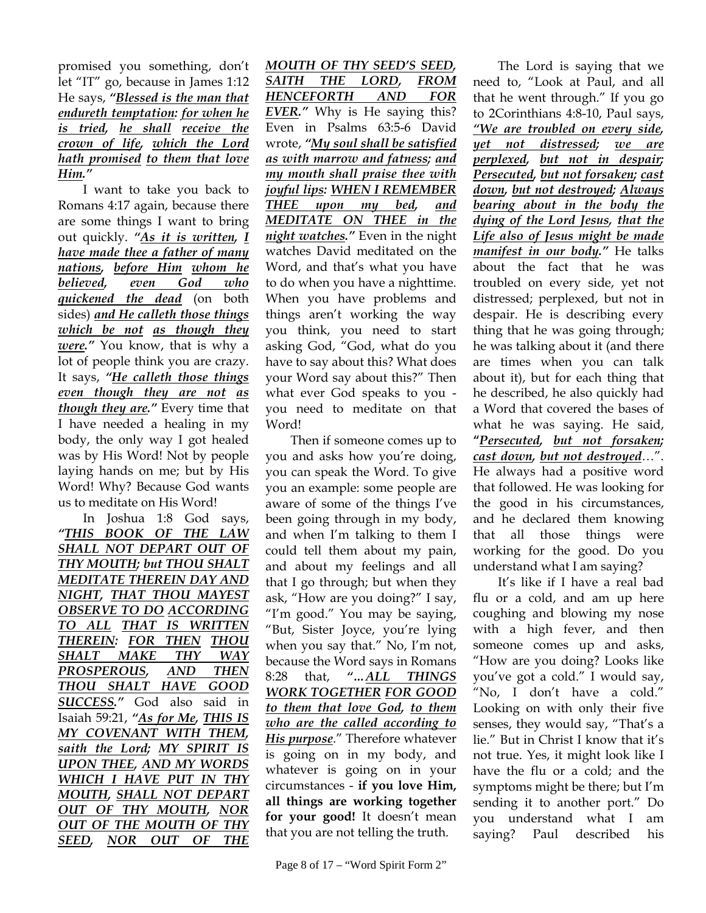promised you something, don't let "IT" go, because in James 1:12 He says, *"Blessed is the man that endureth temptation: for when he is tried, he shall receive the crown of life, which the Lord hath promised to them that love Him."*

I want to take you back to Romans 4:17 again, because there are some things I want to bring out quickly. *"As it is written, I have made thee a father of many nations, before Him whom he believed, even God who quickened the dead* (on both sides) *and He calleth those things which be not as though they were."* You know, that is why a lot of people think you are crazy. It says, *"He calleth those things even though they are not as though they are."* Every time that I have needed a healing in my body, the only way I got healed was by His Word! Not by people laying hands on me; but by His Word! Why? Because God wants us to meditate on His Word!

In Joshua 1:8 God says, *"THIS BOOK OF THE LAW SHALL NOT DEPART OUT OF THY MOUTH; but THOU SHALT MEDITATE THEREIN DAY AND NIGHT, THAT THOU MAYEST OBSERVE TO DO ACCORDING TO ALL THAT IS WRITTEN THEREIN: FOR THEN THOU SHALT MAKE THY WAY PROSPEROUS, AND THEN THOU SHALT HAVE GOOD SUCCESS."* God also said in Isaiah 59:21, *"As for Me, THIS IS MY COVENANT WITH THEM, saith the Lord; MY SPIRIT IS UPON THEE, AND MY WORDS WHICH I HAVE PUT IN THY MOUTH, SHALL NOT DEPART OUT OF THY MOUTH, NOR OUT OF THE MOUTH OF THY SEED, NOR OUT OF THE* 

*MOUTH OF THY SEED'S SEED, SAITH THE LORD, FROM HENCEFORTH AND FOR EVER."* Why is He saying this? Even in Psalms 63:5-6 David wrote, *"My soul shall be satisfied as with marrow and fatness; and my mouth shall praise thee with joyful lips: WHEN I REMEMBER THEE upon my bed, and MEDITATE ON THEE in the night watches."* Even in the night watches David meditated on the Word, and that's what you have to do when you have a nighttime. When you have problems and things aren't working the way you think, you need to start asking God, "God, what do you have to say about this? What does your Word say about this?" Then what ever God speaks to you you need to meditate on that Word!

Then if someone comes up to you and asks how you're doing, you can speak the Word. To give you an example: some people are aware of some of the things I've been going through in my body, and when I'm talking to them I could tell them about my pain, and about my feelings and all that I go through; but when they ask, "How are you doing?" I say, "I'm good." You may be saying, "But, Sister Joyce, you're lying when you say that." No, I'm not, because the Word says in Romans 8:28 that, *"…ALL THINGS WORK TOGETHER FOR GOOD to them that love God, to them who are the called according to His purpose*." Therefore whatever is going on in my body, and whatever is going on in your circumstances - **if you love Him, all things are working together for your good!** It doesn't mean that you are not telling the truth.

The Lord is saying that we need to, "Look at Paul, and all that he went through." If you go to 2Corinthians 4:8-10, Paul says, *"We are troubled on every side, yet not distressed; we are perplexed, but not in despair; Persecuted, but not forsaken; cast down, but not destroyed; Always bearing about in the body the dying of the Lord Jesus, that the Life also of Jesus might be made manifest in our body."* He talks about the fact that he was troubled on every side, yet not distressed; perplexed, but not in despair. He is describing every thing that he was going through; he was talking about it (and there are times when you can talk about it), but for each thing that he described, he also quickly had a Word that covered the bases of what he was saying. He said, **"***Persecuted, but not forsaken; cast down, but not destroyed*…". He always had a positive word that followed. He was looking for the good in his circumstances, and he declared them knowing that all those things were working for the good. Do you understand what I am saying?

It's like if I have a real bad flu or a cold, and am up here coughing and blowing my nose with a high fever, and then someone comes up and asks, "How are you doing? Looks like you've got a cold." I would say, "No, I don't have a cold." Looking on with only their five senses, they would say, "That's a lie." But in Christ I know that it's not true. Yes, it might look like I have the flu or a cold; and the symptoms might be there; but I'm sending it to another port." Do you understand what I am saying? Paul described his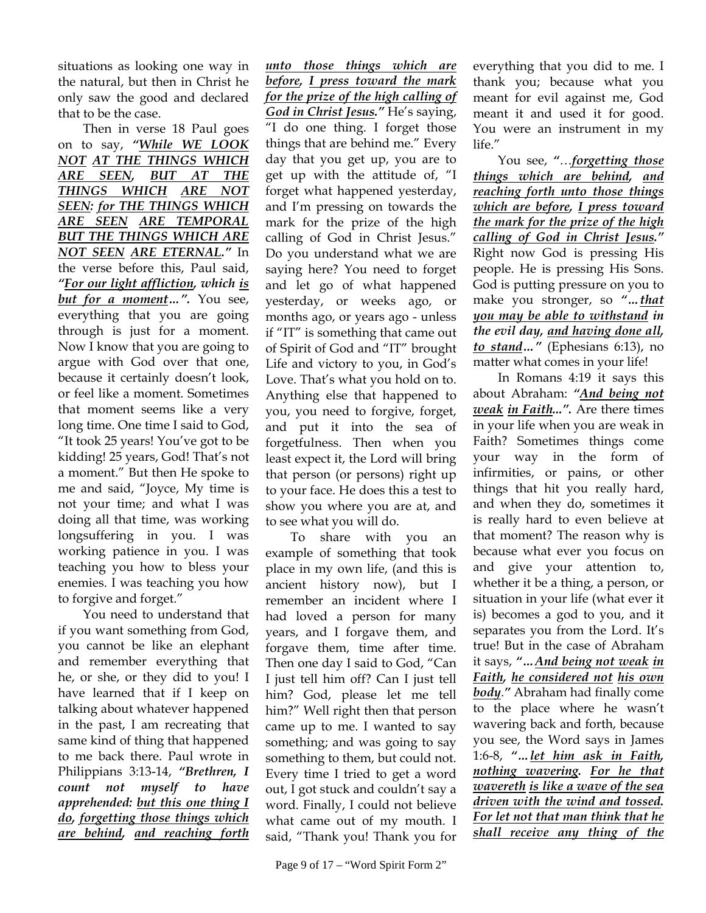situations as looking one way in the natural, but then in Christ he only saw the good and declared that to be the case.

Then in verse 18 Paul goes on to say, *"While WE LOOK NOT AT THE THINGS WHICH ARE SEEN, BUT AT THE THINGS WHICH ARE NOT SEEN: for THE THINGS WHICH ARE SEEN ARE TEMPORAL BUT THE THINGS WHICH ARE NOT SEEN ARE ETERNAL."* In the verse before this, Paul said, *"For our light affliction, which is but for a moment…".* You see, everything that you are going through is just for a moment. Now I know that you are going to argue with God over that one, because it certainly doesn't look, or feel like a moment. Sometimes that moment seems like a very long time. One time I said to God, "It took 25 years! You've got to be kidding! 25 years, God! That's not a moment." But then He spoke to me and said, "Joyce, My time is not your time; and what I was doing all that time, was working longsuffering in you. I was working patience in you. I was teaching you how to bless your enemies. I was teaching you how to forgive and forget."

You need to understand that if you want something from God, you cannot be like an elephant and remember everything that he, or she, or they did to you! I have learned that if I keep on talking about whatever happened in the past, I am recreating that same kind of thing that happened to me back there. Paul wrote in Philippians 3:13-14, *"Brethren, I count not myself to have apprehended: but this one thing I do, forgetting those things which are behind, and reaching forth* 

*unto those things which are before, I press toward the mark for the prize of the high calling of God in Christ Jesus."* He's saying, "I do one thing. I forget those things that are behind me." Every day that you get up, you are to get up with the attitude of, "I forget what happened yesterday, and I'm pressing on towards the mark for the prize of the high calling of God in Christ Jesus." Do you understand what we are saying here? You need to forget and let go of what happened yesterday, or weeks ago, or months ago, or years ago - unless if "IT" is something that came out of Spirit of God and "IT" brought Life and victory to you, in God's Love. That's what you hold on to. Anything else that happened to you, you need to forgive, forget, and put it into the sea of forgetfulness. Then when you least expect it, the Lord will bring that person (or persons) right up to your face. He does this a test to show you where you are at, and to see what you will do.

To share with you an example of something that took place in my own life, (and this is ancient history now), but I remember an incident where I had loved a person for many years, and I forgave them, and forgave them, time after time. Then one day I said to God, "Can I just tell him off? Can I just tell him? God, please let me tell him?" Well right then that person came up to me. I wanted to say something; and was going to say something to them, but could not. Every time I tried to get a word out, I got stuck and couldn't say a word. Finally, I could not believe what came out of my mouth. I said, "Thank you! Thank you for

everything that you did to me. I thank you; because what you meant for evil against me, God meant it and used it for good. You were an instrument in my life."

You see, *"*…*forgetting those things which are behind, and reaching forth unto those things which are before, I press toward the mark for the prize of the high calling of God in Christ Jesus."* Right now God is pressing His people. He is pressing His Sons. God is putting pressure on you to make you stronger, so *"…that you may be able to withstand in the evil day, and having done all, to stand…"* (Ephesians 6:13), no matter what comes in your life!

In Romans 4:19 it says this about Abraham: *"And being not weak in Faith...".* Are there times in your life when you are weak in Faith? Sometimes things come your way in the form of infirmities, or pains, or other things that hit you really hard, and when they do, sometimes it is really hard to even believe at that moment? The reason why is because what ever you focus on and give your attention to, whether it be a thing, a person, or situation in your life (what ever it is) becomes a god to you, and it separates you from the Lord. It's true! But in the case of Abraham it says, *"…And being not weak in Faith, he considered not his own body*.*"* Abraham had finally come to the place where he wasn't wavering back and forth, because you see, the Word says in James 1:6-8, *"…let him ask in Faith, nothing wavering. For he that wavereth is like a wave of the sea driven with the wind and tossed. For let not that man think that he shall receive any thing of the*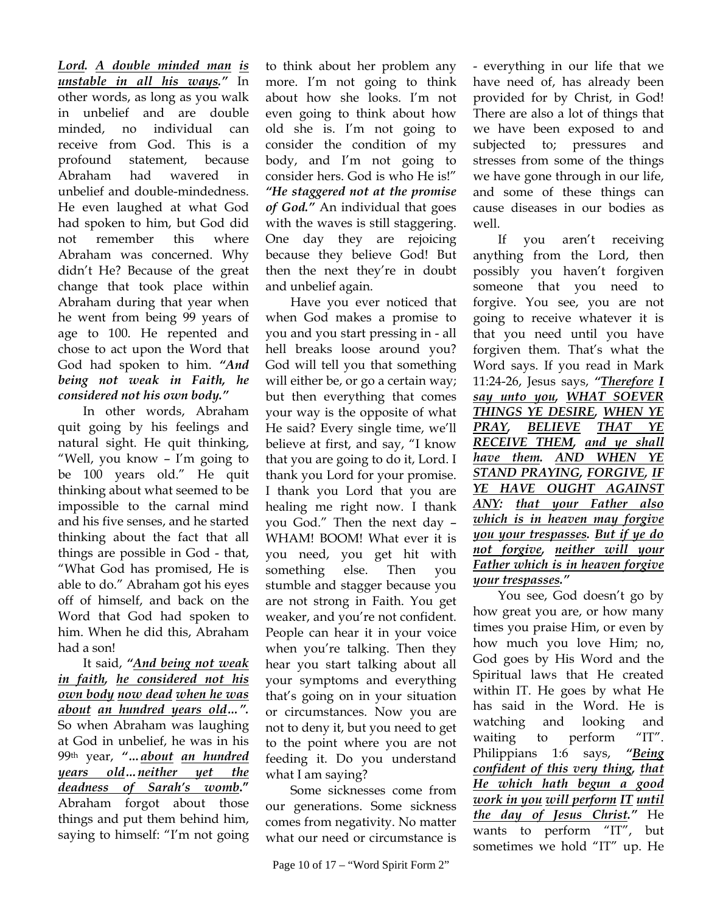*Lord. A double minded man is unstable in all his ways."* In other words, as long as you walk in unbelief and are double minded, no individual can receive from God. This is a profound statement, because Abraham had wavered in unbelief and double-mindedness. He even laughed at what God had spoken to him, but God did not remember this where Abraham was concerned. Why didn't He? Because of the great change that took place within Abraham during that year when he went from being 99 years of age to 100. He repented and chose to act upon the Word that God had spoken to him. *"And being not weak in Faith, he considered not his own body."*

 In other words, Abraham quit going by his feelings and natural sight. He quit thinking, "Well, you know – I'm going to be 100 years old." He quit thinking about what seemed to be impossible to the carnal mind and his five senses, and he started thinking about the fact that all things are possible in God - that, "What God has promised, He is able to do." Abraham got his eyes off of himself, and back on the Word that God had spoken to him. When he did this, Abraham had a son!

It said, *"And being not weak in faith, he considered not his own body now dead when he was about an hundred years old…".* So when Abraham was laughing at God in unbelief, he was in his 99th year, *"…about an hundred years old…neither yet the deadness of Sarah's womb***."**  Abraham forgot about those things and put them behind him, saying to himself: "I'm not going

to think about her problem any more. I'm not going to think about how she looks. I'm not even going to think about how old she is. I'm not going to consider the condition of my body, and I'm not going to consider hers. God is who He is!" *"He staggered not at the promise of God."* An individual that goes with the waves is still staggering. One day they are rejoicing because they believe God! But then the next they're in doubt and unbelief again.

Have you ever noticed that when God makes a promise to you and you start pressing in - all hell breaks loose around you? God will tell you that something will either be, or go a certain way; but then everything that comes your way is the opposite of what He said? Every single time, we'll believe at first, and say, "I know that you are going to do it, Lord. I thank you Lord for your promise. I thank you Lord that you are healing me right now. I thank you God." Then the next day – WHAM! BOOM! What ever it is you need, you get hit with something else. Then you stumble and stagger because you are not strong in Faith. You get weaker, and you're not confident. People can hear it in your voice when you're talking. Then they hear you start talking about all your symptoms and everything that's going on in your situation or circumstances. Now you are not to deny it, but you need to get to the point where you are not feeding it. Do you understand what I am saying?

Some sicknesses come from our generations. Some sickness comes from negativity. No matter what our need or circumstance is

- everything in our life that we have need of, has already been provided for by Christ, in God! There are also a lot of things that we have been exposed to and subjected to; pressures and stresses from some of the things we have gone through in our life, and some of these things can cause diseases in our bodies as well.

If you aren't receiving anything from the Lord, then possibly you haven't forgiven someone that you need to forgive. You see, you are not going to receive whatever it is that you need until you have forgiven them. That's what the Word says. If you read in Mark 11:24-26, Jesus says, *"Therefore I say unto you, WHAT SOEVER THINGS YE DESIRE, WHEN YE PRAY, BELIEVE THAT YE RECEIVE THEM, and ye shall have them. AND WHEN YE STAND PRAYING, FORGIVE, IF YE HAVE OUGHT AGAINST ANY: that your Father also which is in heaven may forgive you your trespasses. But if ye do not forgive, neither will your Father which is in heaven forgive your trespasses."*

You see, God doesn't go by how great you are, or how many times you praise Him, or even by how much you love Him; no, God goes by His Word and the Spiritual laws that He created within IT. He goes by what He has said in the Word. He is watching and looking and waiting to perform "IT". Philippians 1:6 says, *"Being confident of this very thing, that He which hath begun a good work in you will perform IT until the day of Jesus Christ."* He wants to perform "IT", but sometimes we hold "IT" up. He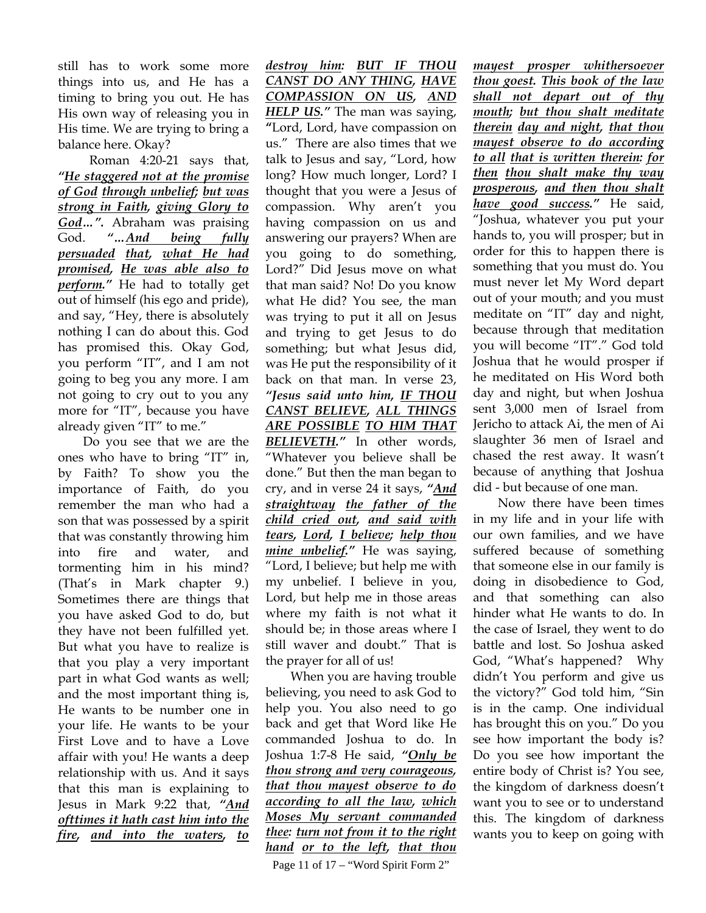still has to work some more things into us, and He has a timing to bring you out. He has His own way of releasing you in His time. We are trying to bring a balance here. Okay?

 Roman 4:20-21 says that, *"He staggered not at the promise of God through unbelief; but was strong in Faith, giving Glory to God…".* Abraham was praising God. *"…And being fully persuaded that, what He had promised, He was able also to perform."* He had to totally get out of himself (his ego and pride), and say, "Hey, there is absolutely nothing I can do about this. God has promised this. Okay God, you perform "IT", and I am not going to beg you any more. I am not going to cry out to you any more for "IT", because you have already given "IT" to me."

Do you see that we are the ones who have to bring "IT" in, by Faith? To show you the importance of Faith, do you remember the man who had a son that was possessed by a spirit that was constantly throwing him into fire and water, and tormenting him in his mind? (That's in Mark chapter 9.) Sometimes there are things that you have asked God to do, but they have not been fulfilled yet. But what you have to realize is that you play a very important part in what God wants as well; and the most important thing is, He wants to be number one in your life. He wants to be your First Love and to have a Love affair with you! He wants a deep relationship with us. And it says that this man is explaining to Jesus in Mark 9:22 that, *"And ofttimes it hath cast him into the fire, and into the waters, to* 

*destroy him: BUT IF THOU CANST DO ANY THING, HAVE COMPASSION ON US, AND HELP US."* The man was saying, **"**Lord, Lord, have compassion on us." There are also times that we talk to Jesus and say, "Lord, how long? How much longer, Lord? I thought that you were a Jesus of compassion. Why aren't you having compassion on us and answering our prayers? When are you going to do something, Lord?" Did Jesus move on what that man said? No! Do you know what He did? You see, the man was trying to put it all on Jesus and trying to get Jesus to do something; but what Jesus did, was He put the responsibility of it back on that man. In verse 23, *"Jesus said unto him, IF THOU CANST BELIEVE, ALL THINGS ARE POSSIBLE TO HIM THAT BELIEVETH."* In other words, "Whatever you believe shall be done." But then the man began to cry, and in verse 24 it says, *"And straightway the father of the child cried out, and said with tears, Lord, I believe; help thou mine unbelief."* He was saying, "Lord, I believe; but help me with my unbelief. I believe in you, Lord, but help me in those areas where my faith is not what it should be; in those areas where I still waver and doubt." That is the prayer for all of us!

When you are having trouble believing, you need to ask God to help you. You also need to go back and get that Word like He commanded Joshua to do. In Joshua 1:7-8 He said, *"Only be thou strong and very courageous, that thou mayest observe to do according to all the law, which Moses My servant commanded thee: turn not from it to the right hand or to the left, that thou* 

Page 11 of 17 – "Word Spirit Form 2"

*mayest prosper whithersoever thou goest. This book of the law shall not depart out of thy mouth; but thou shalt meditate therein day and night, that thou mayest observe to do according to all that is written therein: for then thou shalt make thy way prosperous, and then thou shalt have good success."* He said, "Joshua, whatever you put your hands to, you will prosper; but in order for this to happen there is something that you must do. You must never let My Word depart out of your mouth; and you must meditate on "IT" day and night, because through that meditation you will become "IT"." God told Joshua that he would prosper if he meditated on His Word both day and night, but when Joshua sent 3,000 men of Israel from Jericho to attack Ai, the men of Ai slaughter 36 men of Israel and chased the rest away. It wasn't because of anything that Joshua did - but because of one man.

Now there have been times in my life and in your life with our own families, and we have suffered because of something that someone else in our family is doing in disobedience to God, and that something can also hinder what He wants to do. In the case of Israel, they went to do battle and lost. So Joshua asked God, "What's happened? Why didn't You perform and give us the victory?" God told him, "Sin is in the camp. One individual has brought this on you." Do you see how important the body is? Do you see how important the entire body of Christ is? You see, the kingdom of darkness doesn't want you to see or to understand this. The kingdom of darkness wants you to keep on going with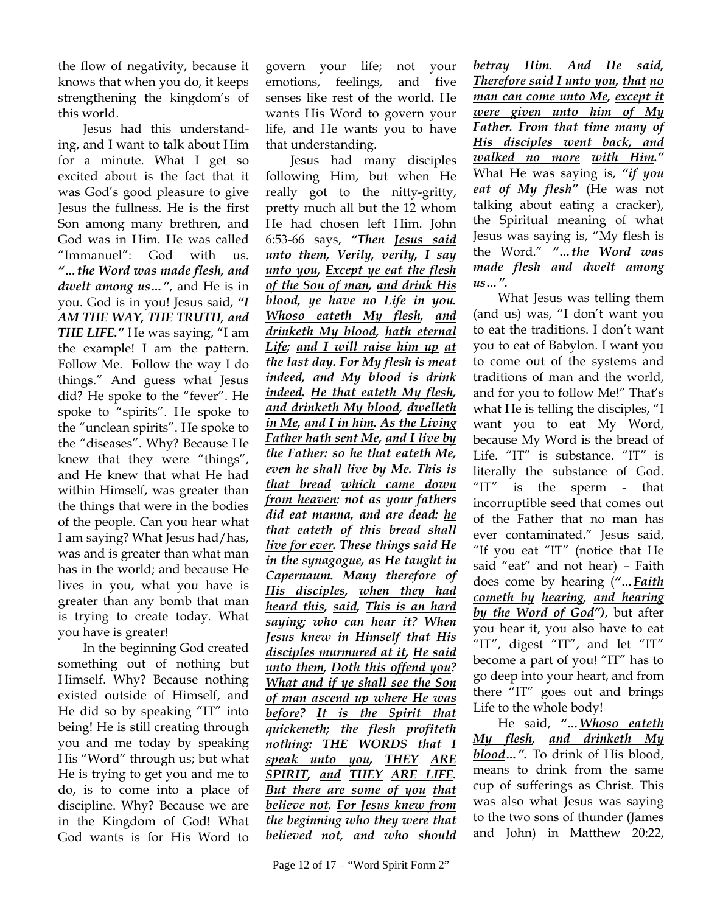the flow of negativity, because it knows that when you do, it keeps strengthening the kingdom's of this world.

Jesus had this understanding, and I want to talk about Him for a minute. What I get so excited about is the fact that it was God's good pleasure to give Jesus the fullness. He is the first Son among many brethren, and God was in Him. He was called "Immanuel": God with us. *"…the Word was made flesh, and dwelt among us…"*, and He is in you. God is in you! Jesus said, *"I AM THE WAY, THE TRUTH, and THE LIFE."* He was saying, "I am the example! I am the pattern. Follow Me. Follow the way I do things." And guess what Jesus did? He spoke to the "fever". He spoke to "spirits". He spoke to the "unclean spirits". He spoke to the "diseases". Why? Because He knew that they were "things", and He knew that what He had within Himself, was greater than the things that were in the bodies of the people. Can you hear what I am saying? What Jesus had/has, was and is greater than what man has in the world; and because He lives in you, what you have is greater than any bomb that man is trying to create today. What you have is greater!

In the beginning God created something out of nothing but Himself. Why? Because nothing existed outside of Himself, and He did so by speaking "IT" into being! He is still creating through you and me today by speaking His "Word" through us; but what He is trying to get you and me to do, is to come into a place of discipline. Why? Because we are in the Kingdom of God! What God wants is for His Word to

govern your life; not your emotions, feelings, and five senses like rest of the world. He wants His Word to govern your life, and He wants you to have that understanding.

Jesus had many disciples following Him, but when He really got to the nitty-gritty, pretty much all but the 12 whom He had chosen left Him. John 6:53-66 says, *"Then Jesus said unto them, Verily, verily, I say unto you, Except ye eat the flesh of the Son of man, and drink His blood, ye have no Life in you. Whoso eateth My flesh, and drinketh My blood, hath eternal Life; and I will raise him up at the last day. For My flesh is meat indeed, and My blood is drink indeed. He that eateth My flesh, and drinketh My blood, dwelleth in Me, and I in him. As the Living Father hath sent Me, and I live by the Father: so he that eateth Me, even he shall live by Me. This is that bread which came down from heaven: not as your fathers did eat manna, and are dead: he that eateth of this bread shall live for ever. These things said He in the synagogue, as He taught in Capernaum. Many therefore of His disciples, when they had heard this, said, This is an hard saying; who can hear it? When Jesus knew in Himself that His disciples murmured at it, He said unto them, Doth this offend you? What and if ye shall see the Son of man ascend up where He was before? It is the Spirit that quickeneth; the flesh profiteth nothing: THE WORDS that I speak unto you, THEY ARE SPIRIT, and THEY ARE LIFE. But there are some of you that believe not. For Jesus knew from the beginning who they were that believed not, and who should* 

*betray Him. And He said, Therefore said I unto you, that no man can come unto Me, except it were given unto him of My Father. From that time many of His disciples went back, and walked no more with Him."*  What He was saying is, *"if you eat of My flesh"* (He was not talking about eating a cracker), the Spiritual meaning of what Jesus was saying is, "My flesh is the Word." *"…the Word was made flesh and dwelt among us…".*

What Jesus was telling them (and us) was, "I don't want you to eat the traditions. I don't want you to eat of Babylon. I want you to come out of the systems and traditions of man and the world, and for you to follow Me!" That's what He is telling the disciples, "I want you to eat My Word, because My Word is the bread of Life. "IT" is substance. "IT" is literally the substance of God. "IT" is the sperm - that incorruptible seed that comes out of the Father that no man has ever contaminated." Jesus said, "If you eat "IT" (notice that He said "eat" and not hear) – Faith does come by hearing (*"…Faith cometh by hearing, and hearing by the Word of God")*, but after you hear it, you also have to eat "IT", digest "IT", and let "IT" become a part of you! "IT" has to go deep into your heart, and from there "IT" goes out and brings Life to the whole body!

He said, *"…Whoso eateth My flesh, and drinketh My blood…".* To drink of His blood, means to drink from the same cup of sufferings as Christ. This was also what Jesus was saying to the two sons of thunder (James and John) in Matthew 20:22,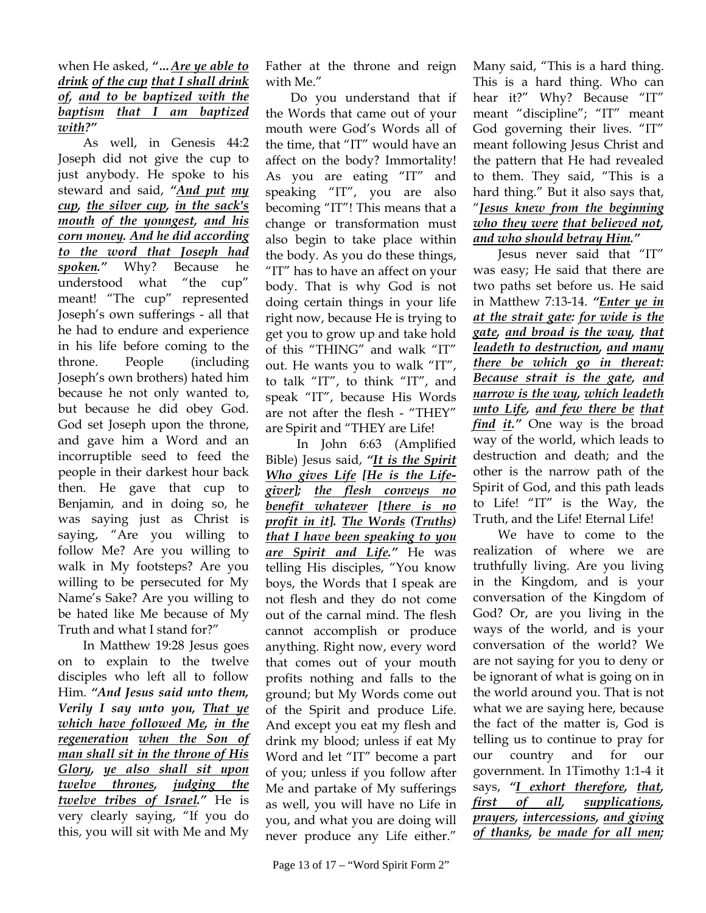## when He asked, *"…Are ye able to drink of the cup that I shall drink of, and to be baptized with the baptism that I am baptized with?"*

As well, in Genesis 44:2 Joseph did not give the cup to just anybody. He spoke to his steward and said, *"And put my cup, the silver cup, in the sack's mouth of the youngest, and his corn money. And he did according to the word that Joseph had spoken."* Why? Because he understood what "the cup" meant! "The cup" represented Joseph's own sufferings - all that he had to endure and experience in his life before coming to the throne. People (including Joseph's own brothers) hated him because he not only wanted to, but because he did obey God. God set Joseph upon the throne, and gave him a Word and an incorruptible seed to feed the people in their darkest hour back then. He gave that cup to Benjamin, and in doing so, he was saying just as Christ is saying, "Are you willing to follow Me? Are you willing to walk in My footsteps? Are you willing to be persecuted for My Name's Sake? Are you willing to be hated like Me because of My Truth and what I stand for?"

In Matthew 19:28 Jesus goes on to explain to the twelve disciples who left all to follow Him. *"And Jesus said unto them, Verily I say unto you, That ye which have followed Me, in the regeneration when the Son of man shall sit in the throne of His Glory, ye also shall sit upon twelve thrones, judging the twelve tribes of Israel."* He is very clearly saying, "If you do this, you will sit with Me and My Father at the throne and reign with Me."

Do you understand that if the Words that came out of your mouth were God's Words all of the time, that "IT" would have an affect on the body? Immortality! As you are eating "IT" and speaking "IT", you are also becoming "IT"! This means that a change or transformation must also begin to take place within the body. As you do these things, "IT" has to have an affect on your body. That is why God is not doing certain things in your life right now, because He is trying to get you to grow up and take hold of this "THING" and walk "IT" out. He wants you to walk "IT", to talk "IT", to think "IT", and speak "IT", because His Words are not after the flesh - "THEY" are Spirit and "THEY are Life!

 In John 6:63 (Amplified Bible) Jesus said, *"It is the Spirit Who gives Life [He is the Lifegiver]; the flesh conveys no benefit whatever [there is no profit in it]. The Words (Truths) that I have been speaking to you are Spirit and Life."* He was telling His disciples, "You know boys, the Words that I speak are not flesh and they do not come out of the carnal mind. The flesh cannot accomplish or produce anything. Right now, every word that comes out of your mouth profits nothing and falls to the ground; but My Words come out of the Spirit and produce Life. And except you eat my flesh and drink my blood; unless if eat My Word and let "IT" become a part of you; unless if you follow after Me and partake of My sufferings as well, you will have no Life in you, and what you are doing will never produce any Life either."

Many said, "This is a hard thing. This is a hard thing. Who can hear it?" Why? Because "IT" meant "discipline"; "IT" meant God governing their lives. "IT" meant following Jesus Christ and the pattern that He had revealed to them. They said, "This is a hard thing." But it also says that, "*Jesus knew from the beginning who they were that believed not, and who should betray Him."* 

Jesus never said that "IT" was easy; He said that there are two paths set before us. He said in Matthew 7:13-14. *"Enter ye in at the strait gate: for wide is the gate, and broad is the way, that leadeth to destruction, and many there be which go in thereat: Because strait is the gate, and narrow is the way, which leadeth unto Life, and few there be that find it."* One way is the broad way of the world, which leads to destruction and death; and the other is the narrow path of the Spirit of God, and this path leads to Life! "IT" is the Way, the Truth, and the Life! Eternal Life!

We have to come to the realization of where we are truthfully living. Are you living in the Kingdom, and is your conversation of the Kingdom of God? Or, are you living in the ways of the world, and is your conversation of the world? We are not saying for you to deny or be ignorant of what is going on in the world around you. That is not what we are saying here, because the fact of the matter is, God is telling us to continue to pray for our country and for our government. In 1Timothy 1:1-4 it says, *"I exhort therefore, that, first of all, supplications, prayers, intercessions, and giving of thanks, be made for all men;*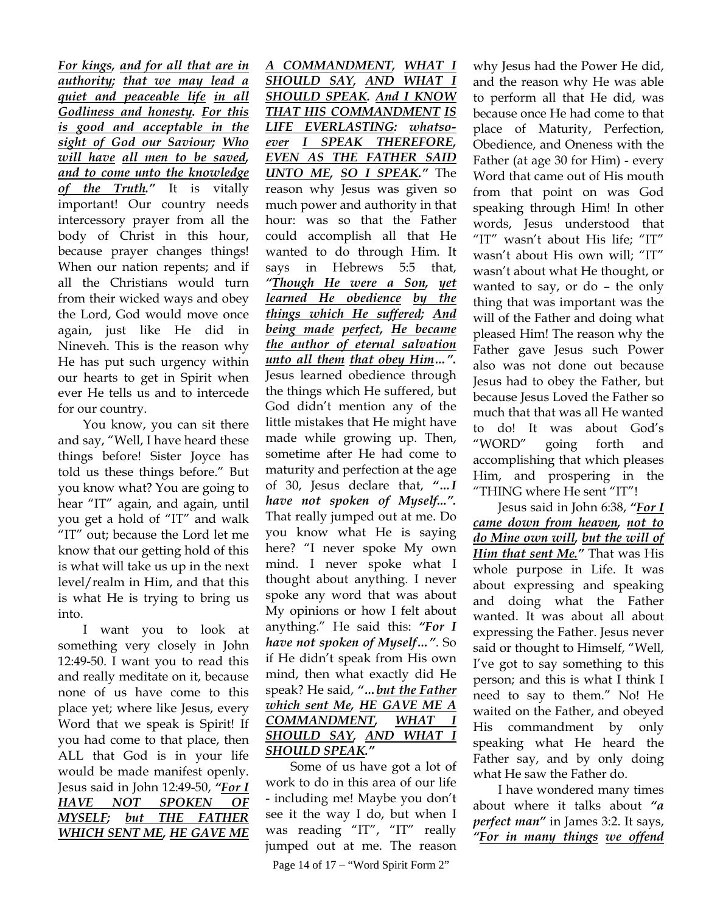*For kings, and for all that are in authority; that we may lead a quiet and peaceable life in all Godliness and honesty. For this is good and acceptable in the sight of God our Saviour; Who will have all men to be saved, and to come unto the knowledge of the Truth."* It is vitally important! Our country needs intercessory prayer from all the body of Christ in this hour, because prayer changes things! When our nation repents; and if all the Christians would turn from their wicked ways and obey the Lord, God would move once again, just like He did in Nineveh. This is the reason why He has put such urgency within our hearts to get in Spirit when ever He tells us and to intercede for our country.

You know, you can sit there and say, "Well, I have heard these things before! Sister Joyce has told us these things before." But you know what? You are going to hear "IT" again, and again, until you get a hold of "IT" and walk "IT" out; because the Lord let me know that our getting hold of this is what will take us up in the next level/realm in Him, and that this is what He is trying to bring us into.

I want you to look at something very closely in John 12:49-50. I want you to read this and really meditate on it, because none of us have come to this place yet; where like Jesus, every Word that we speak is Spirit! If you had come to that place, then ALL that God is in your life would be made manifest openly. Jesus said in John 12:49-50, *"For I HAVE NOT SPOKEN OF MYSELF; but THE FATHER WHICH SENT ME, HE GAVE ME* 

*A COMMANDMENT, WHAT I SHOULD SAY, AND WHAT I SHOULD SPEAK. And I KNOW THAT HIS COMMANDMENT IS LIFE EVERLASTING: whatsoever I SPEAK THEREFORE, EVEN AS THE FATHER SAID UNTO ME, SO I SPEAK."* The reason why Jesus was given so much power and authority in that hour: was so that the Father could accomplish all that He wanted to do through Him. It says in Hebrews 5:5 that, *"Though He were a Son, yet learned He obedience by the things which He suffered; And being made perfect, He became the author of eternal salvation unto all them that obey Him…".* Jesus learned obedience through the things which He suffered, but God didn't mention any of the little mistakes that He might have made while growing up. Then, sometime after He had come to maturity and perfection at the age of 30, Jesus declare that, *"…I have not spoken of Myself...".* That really jumped out at me. Do you know what He is saying here? "I never spoke My own mind. I never spoke what I thought about anything. I never spoke any word that was about My opinions or how I felt about anything." He said this: *"For I have not spoken of Myself…"*. So if He didn't speak from His own mind, then what exactly did He speak? He said, *"…but the Father which sent Me, HE GAVE ME A COMMANDMENT, WHAT I SHOULD SAY, AND WHAT I SHOULD SPEAK."* 

Page 14 of 17 – "Word Spirit Form 2" Some of us have got a lot of work to do in this area of our life - including me! Maybe you don't see it the way I do, but when I was reading "IT", "IT" really jumped out at me. The reason why Jesus had the Power He did, and the reason why He was able to perform all that He did, was because once He had come to that place of Maturity, Perfection, Obedience, and Oneness with the Father (at age 30 for Him) - every Word that came out of His mouth from that point on was God speaking through Him! In other words, Jesus understood that "IT" wasn't about His life; "IT" wasn't about His own will; "IT" wasn't about what He thought, or wanted to say, or do – the only thing that was important was the will of the Father and doing what pleased Him! The reason why the Father gave Jesus such Power also was not done out because Jesus had to obey the Father, but because Jesus Loved the Father so much that that was all He wanted to do! It was about God's "WORD" going forth and accomplishing that which pleases Him, and prospering in the "THING where He sent "IT"!

Jesus said in John 6:38, *"For I came down from heaven, not to do Mine own will, but the will of Him that sent Me."* That was His whole purpose in Life. It was about expressing and speaking and doing what the Father wanted. It was about all about expressing the Father. Jesus never said or thought to Himself, "Well, I've got to say something to this person; and this is what I think I need to say to them." No! He waited on the Father, and obeyed His commandment by only speaking what He heard the Father say, and by only doing what He saw the Father do.

I have wondered many times about where it talks about *"a perfect man"* in James 3:2. It says, *"For in many things we offend*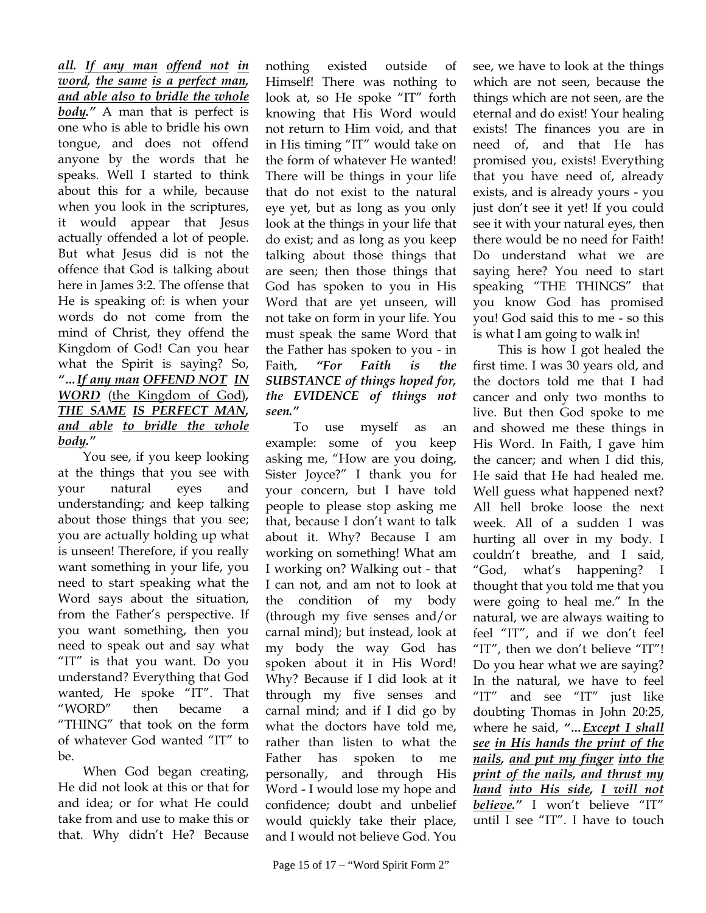*all. If any man offend not in word, the same is a perfect man, and able also to bridle the whole body."* A man that is perfect is one who is able to bridle his own tongue, and does not offend anyone by the words that he speaks. Well I started to think about this for a while, because when you look in the scriptures, it would appear that Jesus actually offended a lot of people. But what Jesus did is not the offence that God is talking about here in James 3:2. The offense that He is speaking of: is when your words do not come from the mind of Christ, they offend the Kingdom of God! Can you hear what the Spirit is saying? So, *"…If any man OFFEND NOT IN WORD* (the Kingdom of God)*, THE SAME IS PERFECT MAN, and able to bridle the whole body."* 

You see, if you keep looking at the things that you see with your natural eyes and understanding; and keep talking about those things that you see; you are actually holding up what is unseen! Therefore, if you really want something in your life, you need to start speaking what the Word says about the situation, from the Father's perspective. If you want something, then you need to speak out and say what "IT" is that you want. Do you understand? Everything that God wanted, He spoke "IT". That "WORD" then became a "THING" that took on the form of whatever God wanted "IT" to be.

When God began creating, He did not look at this or that for and idea; or for what He could take from and use to make this or that. Why didn't He? Because

nothing existed outside of Himself! There was nothing to look at, so He spoke "IT" forth knowing that His Word would not return to Him void, and that in His timing "IT" would take on the form of whatever He wanted! There will be things in your life that do not exist to the natural eye yet, but as long as you only look at the things in your life that do exist; and as long as you keep talking about those things that are seen; then those things that God has spoken to you in His Word that are yet unseen, will not take on form in your life. You must speak the same Word that the Father has spoken to you - in Faith, *"For Faith is the SUBSTANCE of things hoped for, the EVIDENCE of things not seen."*

 To use myself as an example: some of you keep asking me, "How are you doing, Sister Joyce?" I thank you for your concern, but I have told people to please stop asking me that, because I don't want to talk about it. Why? Because I am working on something! What am I working on? Walking out - that I can not, and am not to look at the condition of my body (through my five senses and/or carnal mind); but instead, look at my body the way God has spoken about it in His Word! Why? Because if I did look at it through my five senses and carnal mind; and if I did go by what the doctors have told me, rather than listen to what the Father has spoken to me personally, and through His Word - I would lose my hope and confidence; doubt and unbelief would quickly take their place, and I would not believe God. You

see, we have to look at the things which are not seen, because the things which are not seen, are the eternal and do exist! Your healing exists! The finances you are in need of, and that He has promised you, exists! Everything that you have need of, already exists, and is already yours - you just don't see it yet! If you could see it with your natural eyes, then there would be no need for Faith! Do understand what we are saying here? You need to start speaking "THE THINGS" that you know God has promised you! God said this to me - so this is what I am going to walk in!

This is how I got healed the first time. I was 30 years old, and the doctors told me that I had cancer and only two months to live. But then God spoke to me and showed me these things in His Word. In Faith, I gave him the cancer; and when I did this, He said that He had healed me. Well guess what happened next? All hell broke loose the next week. All of a sudden I was hurting all over in my body. I couldn't breathe, and I said, "God, what's happening? I thought that you told me that you were going to heal me." In the natural, we are always waiting to feel "IT", and if we don't feel "IT", then we don't believe "IT"! Do you hear what we are saying? In the natural, we have to feel "IT" and see "IT" just like doubting Thomas in John 20:25, where he said, *"…Except I shall see in His hands the print of the nails, and put my finger into the print of the nails, and thrust my hand into His side, I will not believe."* I won't believe "IT" until I see "IT". I have to touch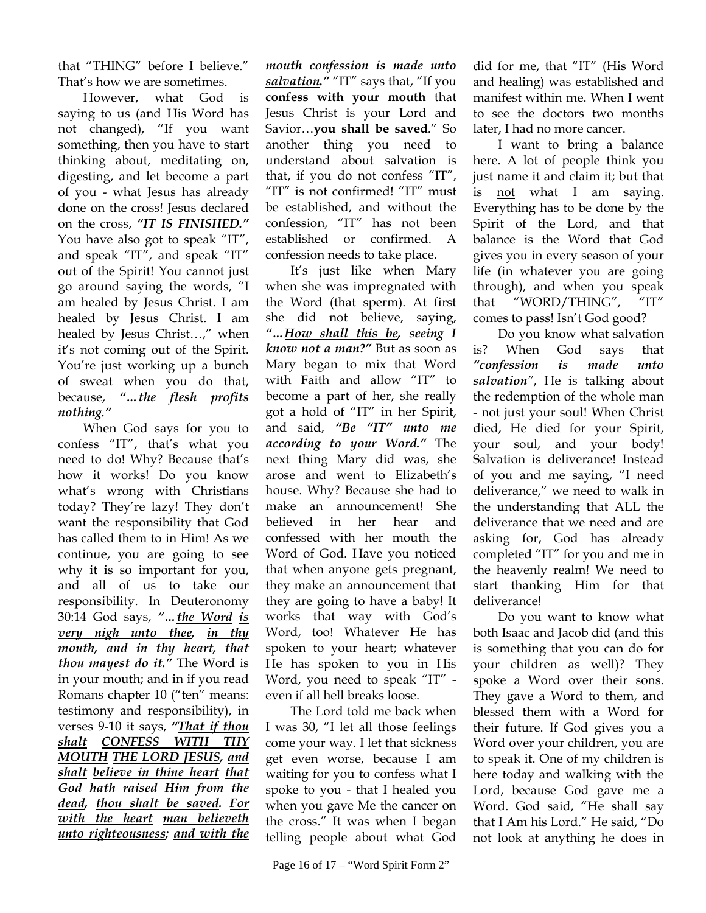that "THING" before I believe." That's how we are sometimes.

However, what God is saying to us (and His Word has not changed), "If you want something, then you have to start thinking about, meditating on, digesting, and let become a part of you - what Jesus has already done on the cross! Jesus declared on the cross, *"IT IS FINISHED."*  You have also got to speak "IT", and speak "IT", and speak "IT" out of the Spirit! You cannot just go around saying the words, "I am healed by Jesus Christ. I am healed by Jesus Christ. I am healed by Jesus Christ…," when it's not coming out of the Spirit. You're just working up a bunch of sweat when you do that, because, *"…the flesh profits nothing."* 

When God says for you to confess "IT", that's what you need to do! Why? Because that's how it works! Do you know what's wrong with Christians today? They're lazy! They don't want the responsibility that God has called them to in Him! As we continue, you are going to see why it is so important for you, and all of us to take our responsibility. In Deuteronomy 30:14 God says, *"…the Word is very nigh unto thee, in thy mouth, and in thy heart, that thou mayest do it."* The Word is in your mouth; and in if you read Romans chapter 10 ("ten" means: testimony and responsibility), in verses 9-10 it says, *"That if thou shalt CONFESS WITH THY MOUTH THE LORD JESUS, and shalt believe in thine heart that God hath raised Him from the dead, thou shalt be saved. For with the heart man believeth unto righteousness; and with the* 

*mouth confession is made unto salvation."* "IT" says that, "If you **confess with your mouth** that Jesus Christ is your Lord and Savior…**you shall be saved**." So another thing you need to understand about salvation is that, if you do not confess "IT", "IT" is not confirmed! "IT" must be established, and without the confession, "IT" has not been established or confirmed. A confession needs to take place.

It's just like when Mary when she was impregnated with the Word (that sperm). At first she did not believe, saying, *"…How shall this be, seeing I know not a man?"* But as soon as Mary began to mix that Word with Faith and allow "IT" to become a part of her, she really got a hold of "IT" in her Spirit, and said, *"Be "IT" unto me according to your Word."* The next thing Mary did was, she arose and went to Elizabeth's house. Why? Because she had to make an announcement! She believed in her hear and confessed with her mouth the Word of God. Have you noticed that when anyone gets pregnant, they make an announcement that they are going to have a baby! It works that way with God's Word, too! Whatever He has spoken to your heart; whatever He has spoken to you in His Word, you need to speak "IT" even if all hell breaks loose.

The Lord told me back when I was 30, "I let all those feelings come your way. I let that sickness get even worse, because I am waiting for you to confess what I spoke to you - that I healed you when you gave Me the cancer on the cross." It was when I began telling people about what God

did for me, that "IT" (His Word and healing) was established and manifest within me. When I went to see the doctors two months later, I had no more cancer.

I want to bring a balance here. A lot of people think you just name it and claim it; but that is not what I am saying. Everything has to be done by the Spirit of the Lord, and that balance is the Word that God gives you in every season of your life (in whatever you are going through), and when you speak that "WORD/THING", "IT" comes to pass! Isn't God good?

Do you know what salvation is? When God says that *"confession is made unto salvation"*, He is talking about the redemption of the whole man - not just your soul! When Christ died, He died for your Spirit, your soul, and your body! Salvation is deliverance! Instead of you and me saying, "I need deliverance," we need to walk in the understanding that ALL the deliverance that we need and are asking for, God has already completed "IT" for you and me in the heavenly realm! We need to start thanking Him for that deliverance!

Do you want to know what both Isaac and Jacob did (and this is something that you can do for your children as well)? They spoke a Word over their sons. They gave a Word to them, and blessed them with a Word for their future. If God gives you a Word over your children, you are to speak it. One of my children is here today and walking with the Lord, because God gave me a Word. God said, "He shall say that I Am his Lord." He said, "Do not look at anything he does in